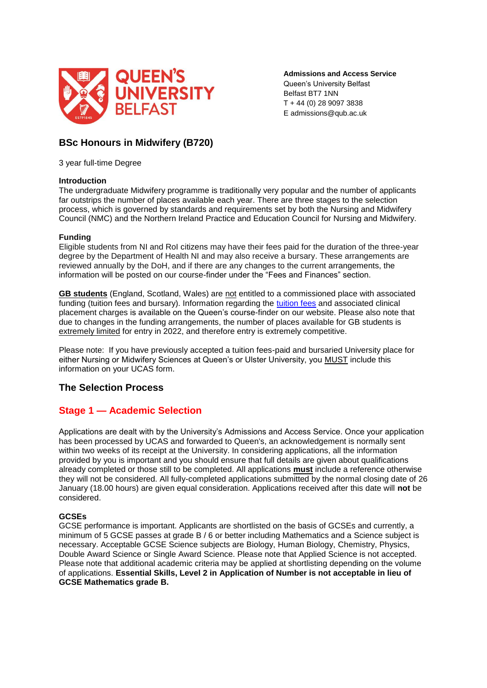

**Admissions and Access Service** Queen's University Belfast Belfast BT7 1NN T + 44 (0) 28 9097 3838 E admissions@qub.ac.uk

# **BSc Honours in Midwifery (B720)**

3 year full-time Degree

# **Introduction**

The undergraduate Midwifery programme is traditionally very popular and the number of applicants far outstrips the number of places available each year. There are three stages to the selection process, which is governed by standards and requirements set by both the Nursing and Midwifery Council (NMC) and the Northern Ireland Practice and Education Council for Nursing and Midwifery.

# **Funding**

Eligible students from NI and RoI citizens may have their fees paid for the duration of the three-year degree by the Department of Health NI and may also receive a bursary. These arrangements are reviewed annually by the DoH, and if there are any changes to the current arrangements, the information will be posted on our course-finder under the "Fees and Finances" section.

**GB students** (England, Scotland, Wales) are not entitled to a commissioned place with associated funding (tuition fees and bursary). Information regarding the [tuition fees](https://www.qub.ac.uk/courses/undergraduate/professional-nursing-adult-nursing-bsc/#fees) and associated clinical placement charges is available on the Queen's course-finder on our website. Please also note that due to changes in the funding arrangements, the number of places available for GB students is extremely limited for entry in 2022, and therefore entry is extremely competitive.

Please note: If you have previously accepted a tuition fees-paid and bursaried University place for either Nursing or Midwifery Sciences at Queen's or Ulster University, you MUST include this information on your UCAS form.

# **The Selection Process**

# **Stage 1 — Academic Selection**

Applications are dealt with by the University's Admissions and Access Service. Once your application has been processed by UCAS and forwarded to Queen's, an acknowledgement is normally sent within two weeks of its receipt at the University. In considering applications, all the information provided by you is important and you should ensure that full details are given about qualifications already completed or those still to be completed. All applications **must** include a reference otherwise they will not be considered. All fully-completed applications submitted by the normal closing date of 26 January (18.00 hours) are given equal consideration. Applications received after this date will **not** be considered.

# **GCSEs**

GCSE performance is important. Applicants are shortlisted on the basis of GCSEs and currently, a minimum of 5 GCSE passes at grade B / 6 or better including Mathematics and a Science subject is necessary. Acceptable GCSE Science subjects are Biology, Human Biology, Chemistry, Physics, Double Award Science or Single Award Science. Please note that Applied Science is not accepted. Please note that additional academic criteria may be applied at shortlisting depending on the volume of applications. **Essential Skills, Level 2 in Application of Number is not acceptable in lieu of GCSE Mathematics grade B.**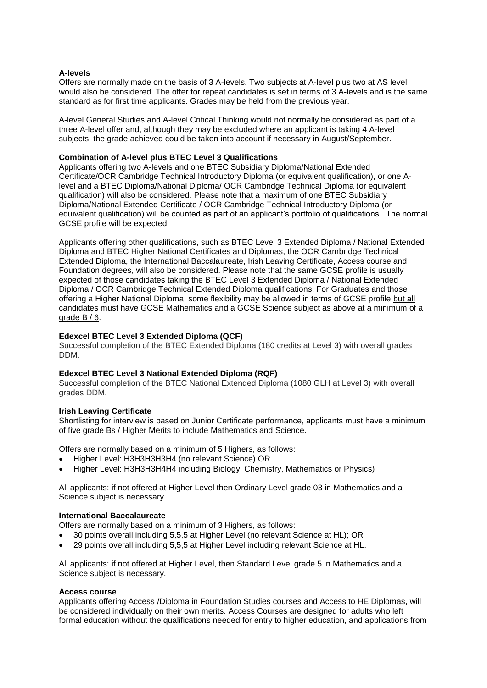# **A-levels**

Offers are normally made on the basis of 3 A-levels. Two subjects at A-level plus two at AS level would also be considered. The offer for repeat candidates is set in terms of 3 A-levels and is the same standard as for first time applicants. Grades may be held from the previous year.

A-level General Studies and A-level Critical Thinking would not normally be considered as part of a three A-level offer and, although they may be excluded where an applicant is taking 4 A-level subjects, the grade achieved could be taken into account if necessary in August/September.

#### **Combination of A-level plus BTEC Level 3 Qualifications**

Applicants offering two A-levels and one BTEC Subsidiary Diploma/National Extended Certificate/OCR Cambridge Technical Introductory Diploma (or equivalent qualification), or one Alevel and a BTEC Diploma/National Diploma/ OCR Cambridge Technical Diploma (or equivalent qualification) will also be considered. Please note that a maximum of one BTEC Subsidiary Diploma/National Extended Certificate / OCR Cambridge Technical Introductory Diploma (or equivalent qualification) will be counted as part of an applicant's portfolio of qualifications. The normal GCSE profile will be expected.

Applicants offering other qualifications, such as BTEC Level 3 Extended Diploma / National Extended Diploma and BTEC Higher National Certificates and Diplomas, the OCR Cambridge Technical Extended Diploma, the International Baccalaureate, Irish Leaving Certificate, Access course and Foundation degrees, will also be considered. Please note that the same GCSE profile is usually expected of those candidates taking the BTEC Level 3 Extended Diploma / National Extended Diploma / OCR Cambridge Technical Extended Diploma qualifications. For Graduates and those offering a Higher National Diploma, some flexibility may be allowed in terms of GCSE profile but all candidates must have GCSE Mathematics and a GCSE Science subject as above at a minimum of a grade  $B / 6$ .

# **Edexcel BTEC Level 3 Extended Diploma (QCF)**

Successful completion of the BTEC Extended Diploma (180 credits at Level 3) with overall grades DDM.

#### **Edexcel BTEC Level 3 National Extended Diploma (RQF)**

Successful completion of the BTEC National Extended Diploma (1080 GLH at Level 3) with overall grades DDM.

#### **Irish Leaving Certificate**

Shortlisting for interview is based on Junior Certificate performance, applicants must have a minimum of five grade Bs / Higher Merits to include Mathematics and Science.

Offers are normally based on a minimum of 5 Highers, as follows:

- Higher Level: H3H3H3H3H4 (no relevant Science) OR
- Higher Level: H3H3H3H4H4 including Biology, Chemistry, Mathematics or Physics)

All applicants: if not offered at Higher Level then Ordinary Level grade 03 in Mathematics and a Science subject is necessary.

#### **International Baccalaureate**

Offers are normally based on a minimum of 3 Highers, as follows:

- 30 points overall including 5,5,5 at Higher Level (no relevant Science at HL); OR
- 29 points overall including 5,5,5 at Higher Level including relevant Science at HL.

All applicants: if not offered at Higher Level, then Standard Level grade 5 in Mathematics and a Science subject is necessary.

#### **Access course**

Applicants offering Access /Diploma in Foundation Studies courses and Access to HE Diplomas, will be considered individually on their own merits. Access Courses are designed for adults who left formal education without the qualifications needed for entry to higher education, and applications from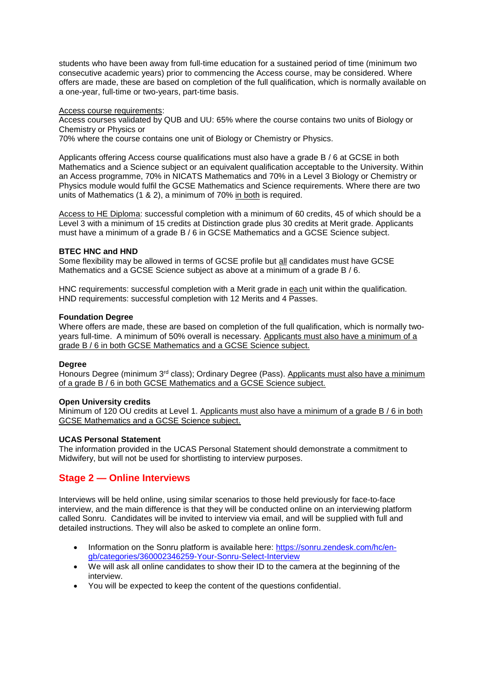students who have been away from full-time education for a sustained period of time (minimum two consecutive academic years) prior to commencing the Access course, may be considered. Where offers are made, these are based on completion of the full qualification, which is normally available on a one-year, full-time or two-years, part-time basis.

#### Access course requirements:

Access courses validated by QUB and UU: 65% where the course contains two units of Biology or Chemistry or Physics or

70% where the course contains one unit of Biology or Chemistry or Physics.

Applicants offering Access course qualifications must also have a grade B / 6 at GCSE in both Mathematics and a Science subject or an equivalent qualification acceptable to the University. Within an Access programme, 70% in NICATS Mathematics and 70% in a Level 3 Biology or Chemistry or Physics module would fulfil the GCSE Mathematics and Science requirements. Where there are two units of Mathematics (1 & 2), a minimum of 70% in both is required.

Access to HE Diploma: successful completion with a minimum of 60 credits, 45 of which should be a Level 3 with a minimum of 15 credits at Distinction grade plus 30 credits at Merit grade. Applicants must have a minimum of a grade B / 6 in GCSE Mathematics and a GCSE Science subject.

# **BTEC HNC and HND**

Some flexibility may be allowed in terms of GCSE profile but all candidates must have GCSE Mathematics and a GCSE Science subject as above at a minimum of a grade B / 6.

HNC requirements: successful completion with a Merit grade in each unit within the qualification. HND requirements: successful completion with 12 Merits and 4 Passes.

# **Foundation Degree**

Where offers are made, these are based on completion of the full qualification, which is normally twoyears full-time. A minimum of 50% overall is necessary. Applicants must also have a minimum of a grade B / 6 in both GCSE Mathematics and a GCSE Science subject.

#### **Degree**

Honours Degree (minimum  $3<sup>rd</sup>$  class); Ordinary Degree (Pass). Applicants must also have a minimum of a grade B / 6 in both GCSE Mathematics and a GCSE Science subject.

#### **Open University credits**

Minimum of 120 OU credits at Level 1. Applicants must also have a minimum of a grade B / 6 in both GCSE Mathematics and a GCSE Science subject.

# **UCAS Personal Statement**

The information provided in the UCAS Personal Statement should demonstrate a commitment to Midwifery, but will not be used for shortlisting to interview purposes.

# **Stage 2 — Online Interviews**

Interviews will be held online, using similar scenarios to those held previously for face-to-face interview, and the main difference is that they will be conducted online on an interviewing platform called Sonru. Candidates will be invited to interview via email, and will be supplied with full and detailed instructions. They will also be asked to complete an online form.

- Information on the Sonru platform is available here: [https://sonru.zendesk.com/hc/en](https://sonru.zendesk.com/hc/en-gb/categories/360002346259-Your-Sonru-Select-Interview)[gb/categories/360002346259-Your-Sonru-Select-Interview](https://sonru.zendesk.com/hc/en-gb/categories/360002346259-Your-Sonru-Select-Interview)
- We will ask all online candidates to show their ID to the camera at the beginning of the interview.
- You will be expected to keep the content of the questions confidential.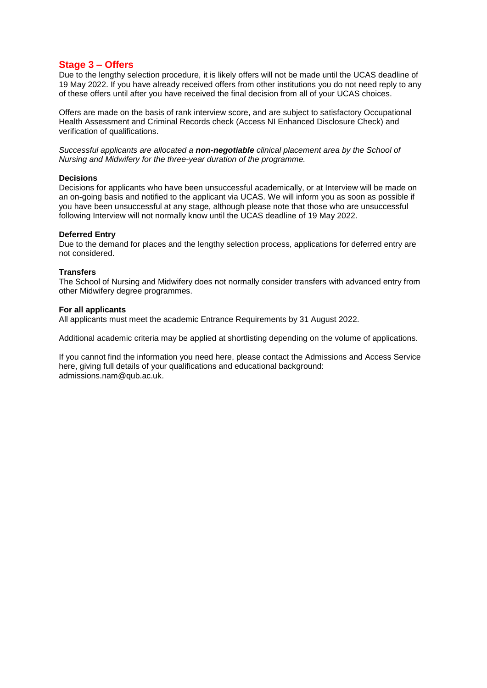# **Stage 3 – Offers**

Due to the lengthy selection procedure, it is likely offers will not be made until the UCAS deadline of 19 May 2022. If you have already received offers from other institutions you do not need reply to any of these offers until after you have received the final decision from all of your UCAS choices.

Offers are made on the basis of rank interview score, and are subject to satisfactory Occupational Health Assessment and Criminal Records check (Access NI Enhanced Disclosure Check) and verification of qualifications.

*Successful applicants are allocated a non-negotiable clinical placement area by the School of Nursing and Midwifery for the three-year duration of the programme.* 

#### **Decisions**

Decisions for applicants who have been unsuccessful academically, or at Interview will be made on an on-going basis and notified to the applicant via UCAS. We will inform you as soon as possible if you have been unsuccessful at any stage, although please note that those who are unsuccessful following Interview will not normally know until the UCAS deadline of 19 May 2022.

#### **Deferred Entry**

Due to the demand for places and the lengthy selection process, applications for deferred entry are not considered.

#### **Transfers**

The School of Nursing and Midwifery does not normally consider transfers with advanced entry from other Midwifery degree programmes.

#### **For all applicants**

All applicants must meet the academic Entrance Requirements by 31 August 2022.

Additional academic criteria may be applied at shortlisting depending on the volume of applications.

If you cannot find the information you need here, please contact the Admissions and Access Service here, giving full details of your qualifications and educational background: admissions.nam@qub.ac.uk.